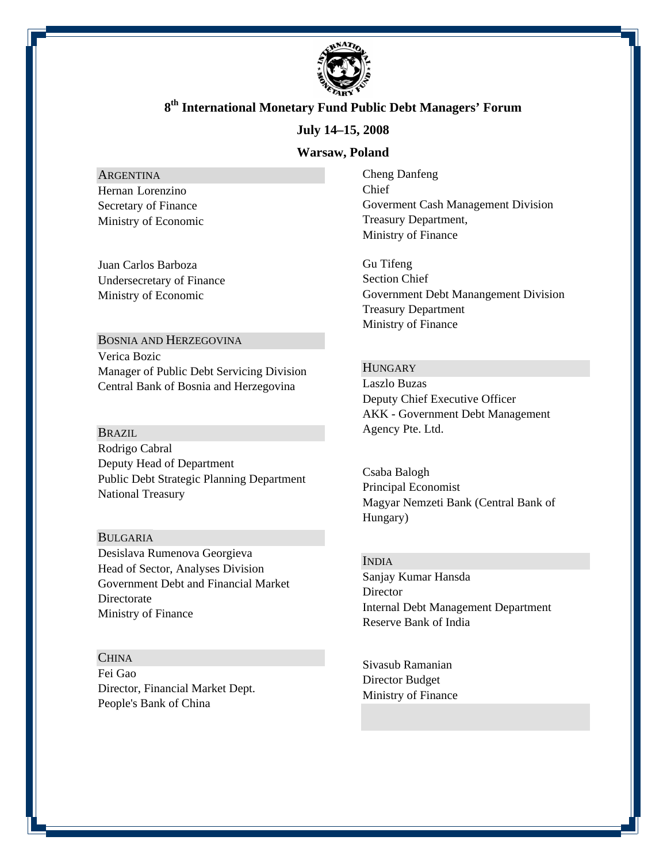

#### **July 14–15, 2008**

#### **Warsaw, Poland**

ARGENTINA Hernan Lorenzino Secretary of Finance Ministry of Economic

Juan Carlos Barboza Undersecretary of Finance Ministry of Economic

BOSNIA AND HERZEGOVINA Verica Bozic Manager of Public Debt Servicing Division Central Bank of Bosnia and Herzegovina

#### BRAZIL

Rodrigo Cabral Deputy Head of Department Public Debt Strategic Planning Department National Treasury

#### BULGARIA

Desislava Rumenova Georgieva Head of Sector, Analyses Division Government Debt and Financial Market **Directorate** Ministry of Finance

#### **CHINA**

Fei Gao Director, Financial Market Dept. People's Bank of China

Cheng Danfeng Chief Goverment Cash Management Division Treasury Department, Ministry of Finance

Gu Tifeng Section Chief Government Debt Manangement Division Treasury Department Ministry of Finance

#### **HUNGARY**

Laszlo Buzas Deputy Chief Executive Officer AKK - Government Debt Management Agency Pte. Ltd.

Csaba Balogh Principal Economist Magyar Nemzeti Bank (Central Bank of Hungary)

#### INDIA

Sanjay Kumar Hansda **Director** Internal Debt Management Department Reserve Bank of India

Sivasub Ramanian Director Budget Ministry of Finance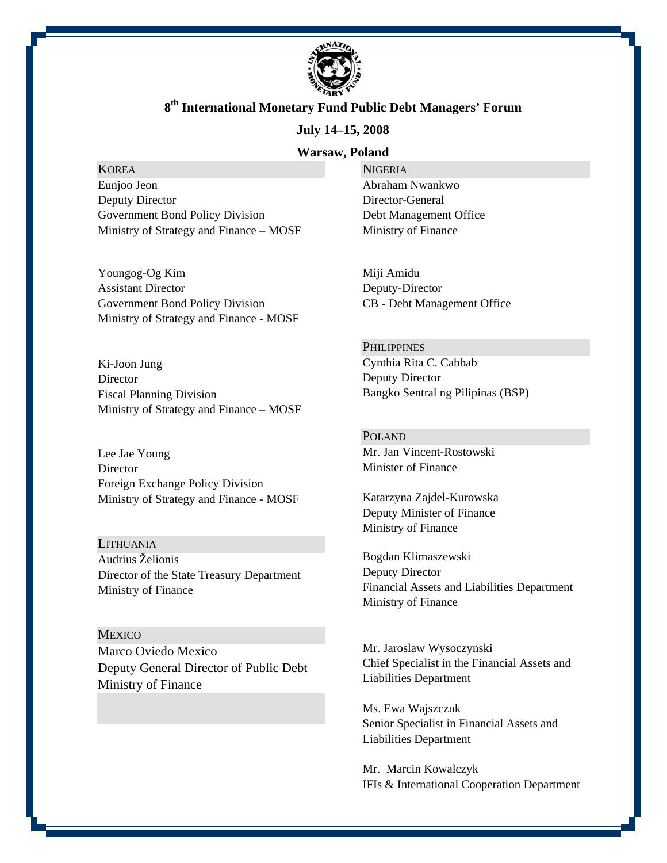

#### **July 14–15, 2008**

#### **Warsaw, Poland**

### **KOREA**

Eunjoo Jeon Deputy Director Government Bond Policy Division Ministry of Strategy and Finance – MOSF

Youngog-Og Kim Assistant Director Government Bond Policy Division Ministry of Strategy and Finance - MOSF

Ki-Joon Jung **Director** Fiscal Planning Division Ministry of Strategy and Finance – MOSF

Lee Jae Young **Director** Foreign Exchange Policy Division Ministry of Strategy and Finance - MOSF

LITHUANIA Audrius Želionis Director of the State Treasury Department Ministry of Finance

**MEXICO** Marco Oviedo Mexico Deputy General Director of Public Debt Ministry of Finance

**NIGERIA** Abraham Nwankwo Director-General Debt Management Office Ministry of Finance

Miji Amidu Deputy-Director CB - Debt Management Office

**PHILIPPINES** Cynthia Rita C. Cabbab Deputy Director Bangko Sentral ng Pilipinas (BSP)

POLAND Mr. Jan Vincent-Rostowski Minister of Finance

Katarzyna Zajdel-Kurowska Deputy Minister of Finance Ministry of Finance

Bogdan Klimaszewski Deputy Director Financial Assets and Liabilities Department Ministry of Finance

Mr. Jaroslaw Wysoczynski Chief Specialist in the Financial Assets and Liabilities Department

Ms. Ewa Wajszczuk Senior Specialist in Financial Assets and Liabilities Department

Mr. Marcin Kowalczyk IFIs & International Cooperation Department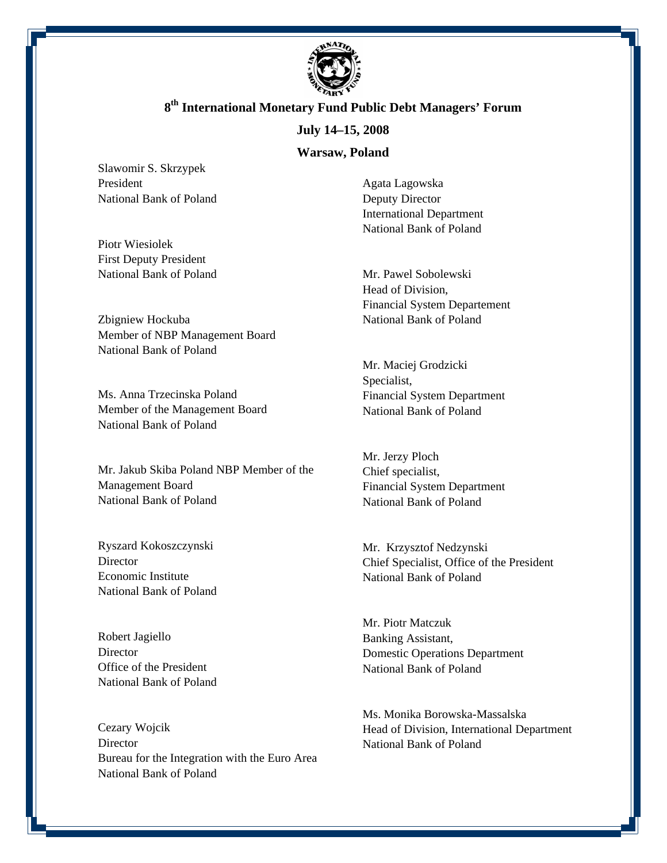

### **July 14–15, 2008**

#### **Warsaw, Poland**

Slawomir S. Skrzypek President National Bank of Poland

Piotr Wiesiolek First Deputy President National Bank of Poland

Zbigniew Hockuba Member of NBP Management Board National Bank of Poland

Ms. Anna Trzecinska Poland Member of the Management Board National Bank of Poland

Mr. Jakub Skiba Poland NBP Member of the Management Board National Bank of Poland

Ryszard Kokoszczynski **Director** Economic Institute National Bank of Poland

Robert Jagiello **Director** Office of the President National Bank of Poland

Cezary Wojcik **Director** Bureau for the Integration with the Euro Area National Bank of Poland

Agata Lagowska Deputy Director International Department National Bank of Poland

Mr. Pawel Sobolewski Head of Division, Financial System Departement National Bank of Poland

Mr. Maciej Grodzicki Specialist, Financial System Department National Bank of Poland

Mr. Jerzy Ploch Chief specialist, Financial System Department National Bank of Poland

Mr. Krzysztof Nedzynski Chief Specialist, Office of the President National Bank of Poland

Mr. Piotr Matczuk Banking Assistant, Domestic Operations Department National Bank of Poland

Ms. Monika Borowska-Massalska Head of Division, International Department National Bank of Poland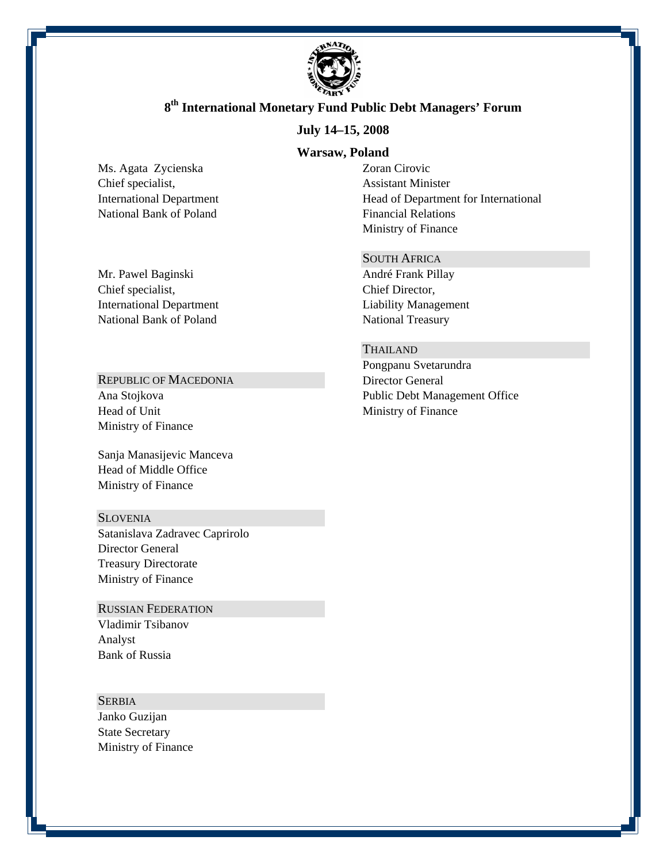

### **July 14–15, 2008**

#### **Warsaw, Poland**

Ms. Agata Zycienska Chief specialist, International Department National Bank of Poland

Mr. Pawel Baginski Chief specialist, International Department National Bank of Poland

### REPUBLIC OF MACEDONIA

Ana Stojkova Head of Unit Ministry of Finance

Sanja Manasijevic Manceva Head of Middle Office Ministry of Finance

#### **SLOVENIA**

Satanislava Zadravec Caprirolo Director General Treasury Directorate Ministry of Finance

### RUSSIAN FEDERATION

Vladimir Tsibanov Analyst Bank of Russia

**SERBIA** Janko Guzijan State Secretary Ministry of Finance Zoran Cirovic Assistant Minister Head of Department for International Financial Relations Ministry of Finance

#### SOUTH AFRICA

André Frank Pillay Chief Director, Liability Management National Treasury

#### THAILAND

Pongpanu Svetarundra Director General Public Debt Management Office Ministry of Finance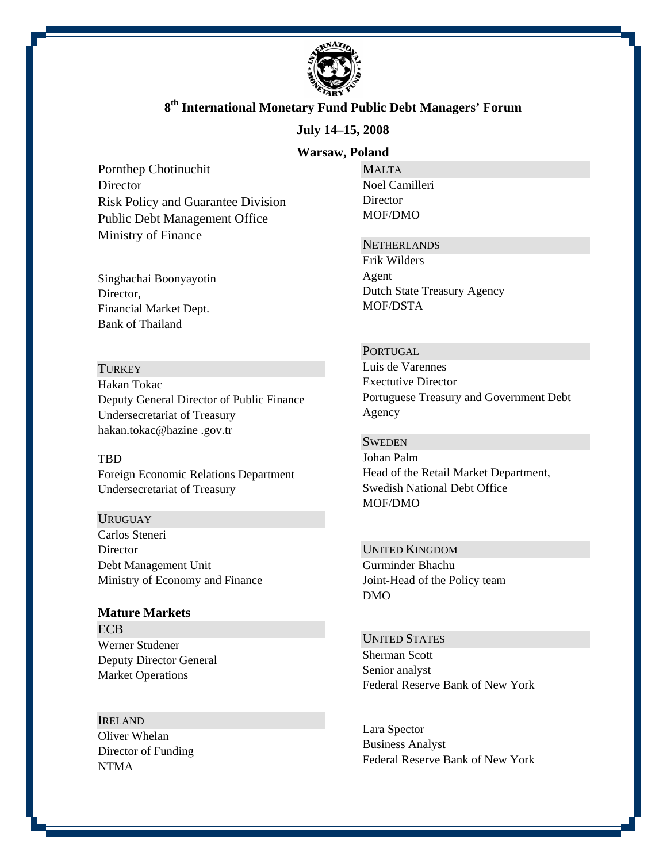

#### **July 14–15, 2008**

#### **Warsaw, Poland**

Pornthep Chotinuchit **Director** Risk Policy and Guarantee Division Public Debt Management Office Ministry of Finance

Singhachai Boonyayotin Director, Financial Market Dept. Bank of Thailand

#### **TURKEY**

Hakan Tokac Deputy General Director of Public Finance Undersecretariat of Treasury hakan.tokac@hazine .gov.tr

#### TBD

Foreign Economic Relations Department Undersecretariat of Treasury

#### **URUGUAY**

Carlos Steneri **Director** Debt Management Unit Ministry of Economy and Finance

# **Mature Markets**  ECB

Werner Studener Deputy Director General Market Operations

#### IRELAND

Oliver Whelan Director of Funding NTMA

MALTA Noel Camilleri **Director** MOF/DMO

#### **NETHERLANDS**

Erik Wilders Agent Dutch State Treasury Agency MOF/DSTA

#### **PORTUGAL**

Luis de Varennes Exectutive Director Portuguese Treasury and Government Debt Agency

#### **SWEDEN**

Johan Palm Head of the Retail Market Department, Swedish National Debt Office MOF/DMO

#### UNITED KINGDOM Gurminder Bhachu

Joint-Head of the Policy team DMO

#### UNITED STATES

Sherman Scott Senior analyst Federal Reserve Bank of New York

Lara Spector Business Analyst Federal Reserve Bank of New York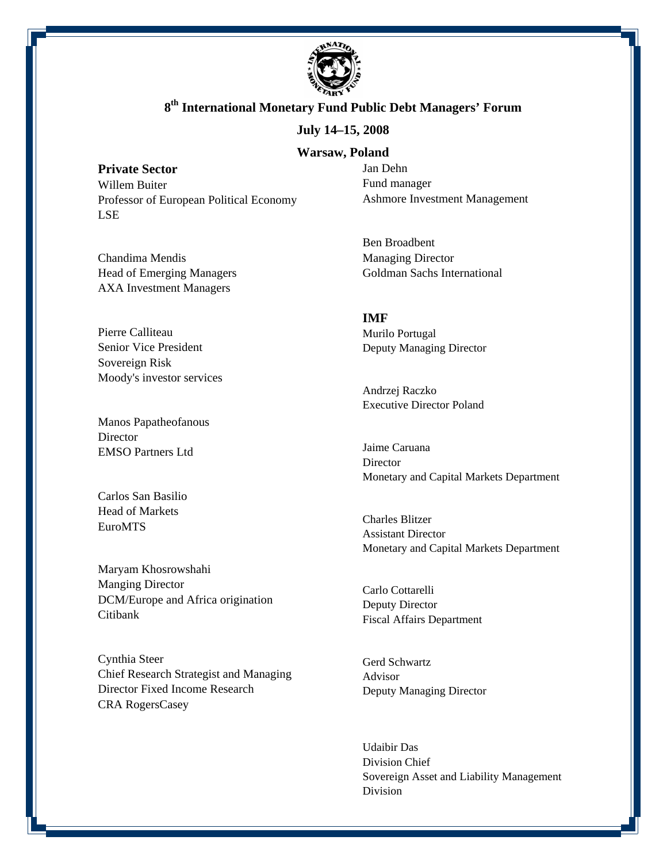

#### **July 14–15, 2008**

#### **Warsaw, Poland**

**Private Sector**  Willem Buiter Professor of European Political Economy LSE

Chandima Mendis Head of Emerging Managers AXA Investment Managers

Pierre Calliteau Senior Vice President Sovereign Risk Moody's investor services

Manos Papatheofanous **Director** EMSO Partners Ltd

Carlos San Basilio Head of Markets EuroMTS

Maryam Khosrowshahi Manging Director DCM/Europe and Africa origination Citibank

Cynthia Steer Chief Research Strategist and Managing Director Fixed Income Research CRA RogersCasey

Jan Dehn Fund manager Ashmore Investment Management

Ben Broadbent Managing Director Goldman Sachs International

### **IMF**

Murilo Portugal Deputy Managing Director

Andrzej Raczko Executive Director Poland

Jaime Caruana **Director** Monetary and Capital Markets Department

Charles Blitzer Assistant Director Monetary and Capital Markets Department

Carlo Cottarelli Deputy Director Fiscal Affairs Department

Gerd Schwartz Advisor Deputy Managing Director

Udaibir Das Division Chief Sovereign Asset and Liability Management Division